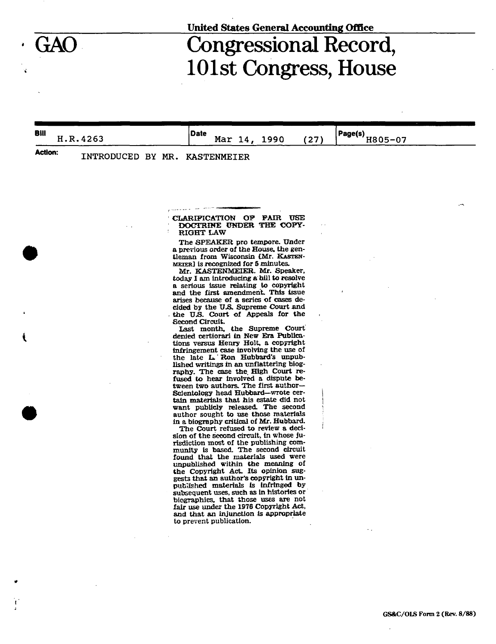## **United States General Accounting Office**

## Congressional Record, 101st Congress, House

**Bill** H.R.4263 **Date** 

Mar 14, 1990 (27)

**Page(s)**  <u>0805-07</u>

Action: INTRODUCED BY MR. KASTENMEIER

CLARIFICATION OF FAIR USE DOCTRINE UNDER THE COPY-RIGHT LAW

The SPEAKER pro tempore. Under a previous order of the House, the gentleman from Wisconsin tMr. KASTEN-MEIER] is recognized for 5 minutes.

Mr. KASTENMEIER. Mr. Speaker, today I am introducing a bill to resolve a serious issue relating to copyright and the first amendment. This issue arises because of a series of cases decided by the U.S. Supreme Court and the *XJJS.* Court of Appeals for the Second Circuit.

Last month, the Supreme Court denied certiorari in New Era Publications versus Henry Holt, a copyright infringement case involving the use of the late L.'Ron Hubbard's unpublished writings in an unflattering biography. The case the. High Court refused to hear involved a dispute between two authors. The first author $-$ Scientology head Hubbard—wrote certain materials that his estate did not want publicly released. The second author sought to use those materials in a biography critical of Mr. Hubbard.

The Court refused to review a decision of the second circuit, in whose jurisdiction most of the publishing community is based. The second circuit found that the materials used were unpublished within the meaning of diffunction within the moments of<br>the Copyright Act. Its opinion suggests that an author's copyright in unpublished materials is infringed by putaisment macriais is infringen by<br>subcoquent uses, such as in histories or subsequent uses, such as in motories of<br>biographies, that those uses are not. biographies, that those uses are not<br>fair use under the 1976 Copyright Act, rair use under the 1910 Copyright Act,<br>and that an injunction is appropriate. ang that an injunction<br>to prevent publication.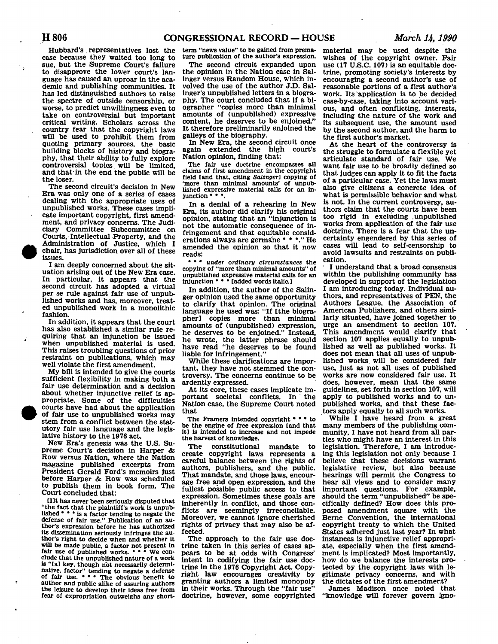Hubbard's representatives lost the case because they waited too long to sue, but the Supreme Court's failure to disapprove the lower court's language has caused an uproar in the academic and publishing communities. It has led distinguished authors to raise the spectre of outside censorship, or worse, to predict unwillingness even to take on controversial but important critical writing. Scholars across the country fear that the copyright laws will be used to prohibit them from quoting primary sources, the basic building blocks of history and biography, that their ability to fully explore controversial topics will be limited, and that in the end the public will be

The second circuit's decision in New Era was only one of a series of cases dealing with the appropriate uses of unpublished works. These cases implicate important copyright, first amendment, and privacy concerns. The Judiciary Committee Subcommittee on Courts, Intellectual Property, and the Administration of Justice, which I chair, has jurisdiction over all of these issues.

I am deeply concerned about the situation arising out of the New Era case. In particular, it appears that the second circuit has adopted a virtual per se rule against fair use of unpublished works and has, moreover, treated unpublished work in a monolithic fashion.

In addition, it appears that the court has also established a similar rule requiring that an injunction be issued when unpublished material is used. This raises troubling questions of prior restraint on publications, which may well violate the first amendment.

My bill is intended to give the courts sufficient flexibility in making both a fair use determination and a decision about whether injunctive relief is appropriate. Some of the difficulties • courts have had about the application of fair use to unpublished works may stem from a conflict between the statutory fair use language and the legislative history to the 1976 act.

New Era's genesis was the U.S. Supreme Court's decision in Harper & Row versus Nation, where the Nation magazine published excerpts from President Gerald Ford's memoirs just before Harper & Row was scheduled to publish them in book form. The Court concluded that:

Cllt has never been seriously disputed that "the fact that the plaintiff's work is unpub-lished • • • is a factor tending to negate the defense of fair use.".Publication of an author's expression before he has authorized its dissemination seriously infringes the author's right to decide when and whether it will be made public, a factor not present In fair use of published works. " " We conclude that the unpublished nature of a work is "[a] key, though hot necessarily determinative, factor" tending to negate a defense<br>of fair use. • • • The obvious benefit to author and public alike of assuring authors the leisure to develop their ideas free from fear of expropriation outweighs any short-

term "news value" to be gained from premature publication of the author's expression.

The second circuit expanded upon the opinion in the Nation case in Salinger versus Random House, which involved the use of the author J.D. Salinger's unpublished letters in a biography. The court concluded that if a biographer "copies more than minimal amounts of (unpublished) expressive content, he deserves to be enjoined." It therefore preliminarily enjoined the galleys of the biography.

In New Era, the second circuit once again extended the high court's Nation opinion, finding that:

The fair use doctrine encompasses all claims of first amendment in the copyright field [and that, citing *Salinger]* copying of 'more than minimal amounts' of unpublished expressive material calls for an injunction • • \*.

In a denial of a rehearing in New Era, its author did clarify his original opinion, stating that an "injunction is not the automatic consequence of infringement and that equitable considerations always are germane \* \* \*." He amended the opinion so that it now reads:

• \* \* *under ordinary circumstances* the copying of "more than minimal amounts" of unpublished expressive material calls for an injunction • • • [added words italic]

In addition, the author of the Salinger opinion used the same opportunity to clarify that opinion. The original language he used was: "If [the biographer] copies more than minimal amounts of (unpublished) expression, he deserves to be enjoined." Instead, he wrote, the latter phrase should have read "he deserves to be found liable for infringement."

While these clarifications are important, they have not stemmed the controversy. The concerns continue to be ardently expressed.

At its core, these cases implicate important societal conflicts. In the Nation case, the Supreme Court noted that

The Framers intended copyright  $\cdot \cdot \cdot$  to be the engine of free expression [and that it] is intended to Increase and not impede the harvest of knowledge.

The constitutional mandate to create copyright laws represents a careful balance between the rights of authors, publishers, and the public. That mandate, and those laws, encourage free and open expression, and the fullest possible public access to that expression. Sometimes these goals are inherently in conflict, and those conflicts are seemingly irreconcilable. Moreover, we cannot ignore cherished rights of privacy that may also be affected.

The approach to the fair use doctrine taken in this series of cases appears to be at odds with Congress' intent in codifying the fair use doctrine in the 1976 Copyright Act. Copyright law encourages creativity by granting authors a limited monopoly in their works. Through the "fair use" doctrine, however, some copyrighted material may be used despite the wishes of the copyright owner. Pair use (17 U.S.C. 107) is an equitable doctrine, promoting society's interests by encouraging a second author's use of reasonable portions of a first author's work. Its application is to be decided case-by-case, taking into account various, and often conflicting, interests, including the nature of the work and its subsequent use, the amount used by the second author, and the harm to the first author's market.

At the heart of the controversy is the struggle to formulate a flexible yet articulate standard of fair use. We want fair use to be broadly defined so that judges can apply it to fit the facts of a particular case. Yet the laws must also give citizens a concrete idea of what is permissible behavior and what is not. In the current controversy, authors claim that the courts have been too rigid in excluding .unpublished works from application of the fair use doctrine. There is a fear that the uncertainty engendered by this series of cases will lead to self-censorship to avoid lawsuits and restraints on publication.

I understand that a broad consensus within the publishing community has developed in support of the legislation I am introducing today. Individual authors, and representatives of PEN, the Authors League, the Association of American Publishers, and others similarly situated, have joined together to. urge an amendment to section 107. This amendment would clarify that section 107 applies equally to unpublished as well as published works. It does not mean that all uses of unpublished works, will be considered fair use, just as not all uses of published works are now considered fair use. It does, however, mean that the same guidelines, set forth in section 107, will apply to published works and to unpublished works, and that these factors apply equally to all such works.

While I have heard from a great many members of the publishing community, I have not heard from all parties who might have an interest in this legislation. Therefore, I am introducing this legislation not only because I believe that these decisions warrant legislative review, but also because hearings will permit the Congress to hear all views and to consider many important questions. For example, should the term "unpublished" be specifically defined? How does this proposed amendment square with the Berne Convention, the international copyright treaty to which the United States adhered just last year? In what instances is injunctive relief appropriate, especially when the first amendment is implicated? Most importantly, how do we balance the interests protected by the copyright laws with legitimate privacy concerns, and with the dictates of the first amendmer.t?

James Madison once noted that "knowledge will forever govern Igno-

the loser.

•